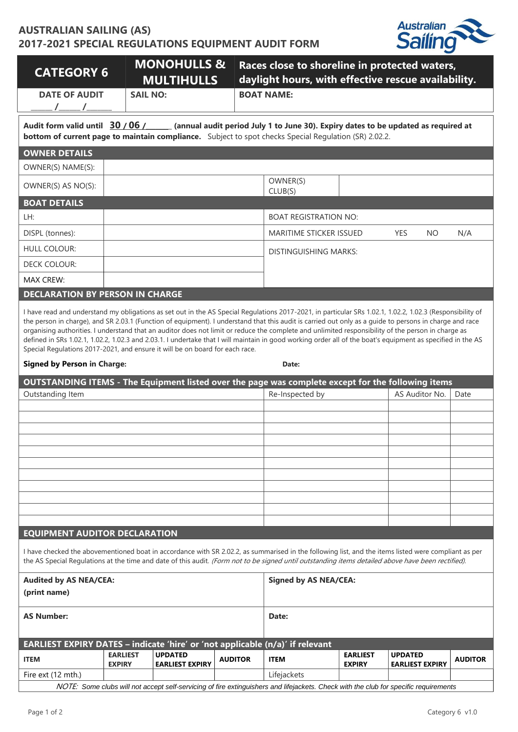## **AUSTRALIAN SAILING (AS) 2017-2021 SPECIAL REGULATIONS EQUIPMENT AUDIT FORM**



| <b>CATEGORY 6</b>                                                                                                                                                                                                                                                                                                                                                                                                                                                                                                                                                                                                                                                                                                                                                        |                                  | <b>MONOHULLS &amp;</b><br><b>MULTIHULLS</b> |                              | Races close to shoreline in protected waters,<br>daylight hours, with effective rescue availability.                                 |                                  |                                          |                |  |  |  |  |
|--------------------------------------------------------------------------------------------------------------------------------------------------------------------------------------------------------------------------------------------------------------------------------------------------------------------------------------------------------------------------------------------------------------------------------------------------------------------------------------------------------------------------------------------------------------------------------------------------------------------------------------------------------------------------------------------------------------------------------------------------------------------------|----------------------------------|---------------------------------------------|------------------------------|--------------------------------------------------------------------------------------------------------------------------------------|----------------------------------|------------------------------------------|----------------|--|--|--|--|
| <b>DATE OF AUDIT</b><br><b>SAIL NO:</b>                                                                                                                                                                                                                                                                                                                                                                                                                                                                                                                                                                                                                                                                                                                                  |                                  |                                             |                              | <b>BOAT NAME:</b>                                                                                                                    |                                  |                                          |                |  |  |  |  |
| Audit form valid until 30/06/ (annual audit period July 1 to June 30). Expiry dates to be updated as required at<br><b>bottom of current page to maintain compliance.</b> Subject to spot checks Special Regulation (SR) 2.02.2.                                                                                                                                                                                                                                                                                                                                                                                                                                                                                                                                         |                                  |                                             |                              |                                                                                                                                      |                                  |                                          |                |  |  |  |  |
| <b>OWNER DETAILS</b>                                                                                                                                                                                                                                                                                                                                                                                                                                                                                                                                                                                                                                                                                                                                                     |                                  |                                             |                              |                                                                                                                                      |                                  |                                          |                |  |  |  |  |
| OWNER(S) NAME(S):                                                                                                                                                                                                                                                                                                                                                                                                                                                                                                                                                                                                                                                                                                                                                        |                                  |                                             |                              |                                                                                                                                      |                                  |                                          |                |  |  |  |  |
| OWNER(S) AS NO(S):                                                                                                                                                                                                                                                                                                                                                                                                                                                                                                                                                                                                                                                                                                                                                       |                                  |                                             |                              | OWNER(S)<br>CLUB(S)                                                                                                                  |                                  |                                          |                |  |  |  |  |
| <b>BOAT DETAILS</b>                                                                                                                                                                                                                                                                                                                                                                                                                                                                                                                                                                                                                                                                                                                                                      |                                  |                                             |                              |                                                                                                                                      |                                  |                                          |                |  |  |  |  |
| LH:                                                                                                                                                                                                                                                                                                                                                                                                                                                                                                                                                                                                                                                                                                                                                                      |                                  |                                             |                              | <b>BOAT REGISTRATION NO:</b>                                                                                                         |                                  |                                          |                |  |  |  |  |
| DISPL (tonnes):                                                                                                                                                                                                                                                                                                                                                                                                                                                                                                                                                                                                                                                                                                                                                          |                                  |                                             |                              | MARITIME STICKER ISSUED                                                                                                              |                                  | <b>YES</b><br><b>NO</b>                  | N/A            |  |  |  |  |
| <b>HULL COLOUR:</b>                                                                                                                                                                                                                                                                                                                                                                                                                                                                                                                                                                                                                                                                                                                                                      |                                  |                                             |                              | <b>DISTINGUISHING MARKS:</b>                                                                                                         |                                  |                                          |                |  |  |  |  |
| <b>DECK COLOUR:</b>                                                                                                                                                                                                                                                                                                                                                                                                                                                                                                                                                                                                                                                                                                                                                      |                                  |                                             |                              |                                                                                                                                      |                                  |                                          |                |  |  |  |  |
| <b>MAX CREW:</b>                                                                                                                                                                                                                                                                                                                                                                                                                                                                                                                                                                                                                                                                                                                                                         |                                  |                                             |                              |                                                                                                                                      |                                  |                                          |                |  |  |  |  |
| <b>DECLARATION BY PERSON IN CHARGE</b>                                                                                                                                                                                                                                                                                                                                                                                                                                                                                                                                                                                                                                                                                                                                   |                                  |                                             |                              |                                                                                                                                      |                                  |                                          |                |  |  |  |  |
| I have read and understand my obligations as set out in the AS Special Regulations 2017-2021, in particular SRs 1.02.1, 1.02.2, 1.02.3 (Responsibility of<br>the person in charge), and SR 2.03.1 (Function of equipment). I understand that this audit is carried out only as a guide to persons in charge and race<br>organising authorities. I understand that an auditor does not limit or reduce the complete and unlimited responsibility of the person in charge as<br>defined in SRs 1.02.1, 1.02.2, 1.02.3 and 2.03.1. I undertake that I will maintain in good working order all of the boat's equipment as specified in the AS<br>Special Regulations 2017-2021, and ensure it will be on board for each race.<br><b>Signed by Person in Charge:</b><br>Date: |                                  |                                             |                              |                                                                                                                                      |                                  |                                          |                |  |  |  |  |
|                                                                                                                                                                                                                                                                                                                                                                                                                                                                                                                                                                                                                                                                                                                                                                          |                                  |                                             |                              |                                                                                                                                      |                                  |                                          |                |  |  |  |  |
| OUTSTANDING ITEMS - The Equipment listed over the page was complete except for the following items<br>Outstanding Item                                                                                                                                                                                                                                                                                                                                                                                                                                                                                                                                                                                                                                                   |                                  |                                             |                              | Re-Inspected by                                                                                                                      |                                  | AS Auditor No.                           | Date           |  |  |  |  |
|                                                                                                                                                                                                                                                                                                                                                                                                                                                                                                                                                                                                                                                                                                                                                                          |                                  |                                             |                              |                                                                                                                                      |                                  |                                          |                |  |  |  |  |
|                                                                                                                                                                                                                                                                                                                                                                                                                                                                                                                                                                                                                                                                                                                                                                          |                                  |                                             |                              |                                                                                                                                      |                                  |                                          |                |  |  |  |  |
|                                                                                                                                                                                                                                                                                                                                                                                                                                                                                                                                                                                                                                                                                                                                                                          |                                  |                                             |                              |                                                                                                                                      |                                  |                                          |                |  |  |  |  |
|                                                                                                                                                                                                                                                                                                                                                                                                                                                                                                                                                                                                                                                                                                                                                                          |                                  |                                             |                              |                                                                                                                                      |                                  |                                          |                |  |  |  |  |
|                                                                                                                                                                                                                                                                                                                                                                                                                                                                                                                                                                                                                                                                                                                                                                          |                                  |                                             |                              |                                                                                                                                      |                                  |                                          |                |  |  |  |  |
|                                                                                                                                                                                                                                                                                                                                                                                                                                                                                                                                                                                                                                                                                                                                                                          |                                  |                                             |                              |                                                                                                                                      |                                  |                                          |                |  |  |  |  |
|                                                                                                                                                                                                                                                                                                                                                                                                                                                                                                                                                                                                                                                                                                                                                                          |                                  |                                             |                              |                                                                                                                                      |                                  |                                          |                |  |  |  |  |
|                                                                                                                                                                                                                                                                                                                                                                                                                                                                                                                                                                                                                                                                                                                                                                          |                                  |                                             |                              |                                                                                                                                      |                                  |                                          |                |  |  |  |  |
| <b>EQUIPMENT AUDITOR DECLARATION</b>                                                                                                                                                                                                                                                                                                                                                                                                                                                                                                                                                                                                                                                                                                                                     |                                  |                                             |                              |                                                                                                                                      |                                  |                                          |                |  |  |  |  |
| I have checked the abovementioned boat in accordance with SR 2.02.2, as summarised in the following list, and the items listed were compliant as per<br>the AS Special Regulations at the time and date of this audit. (Form not to be signed until outstanding items detailed above have been rectified).                                                                                                                                                                                                                                                                                                                                                                                                                                                               |                                  |                                             |                              |                                                                                                                                      |                                  |                                          |                |  |  |  |  |
| <b>Audited by AS NEA/CEA:</b><br>(print name)                                                                                                                                                                                                                                                                                                                                                                                                                                                                                                                                                                                                                                                                                                                            |                                  |                                             | <b>Signed by AS NEA/CEA:</b> |                                                                                                                                      |                                  |                                          |                |  |  |  |  |
| <b>AS Number:</b>                                                                                                                                                                                                                                                                                                                                                                                                                                                                                                                                                                                                                                                                                                                                                        |                                  |                                             |                              | Date:                                                                                                                                |                                  |                                          |                |  |  |  |  |
| EARLIEST EXPIRY DATES - indicate 'hire' or 'not applicable (n/a)' if relevant                                                                                                                                                                                                                                                                                                                                                                                                                                                                                                                                                                                                                                                                                            |                                  |                                             |                              |                                                                                                                                      |                                  |                                          |                |  |  |  |  |
| <b>ITEM</b>                                                                                                                                                                                                                                                                                                                                                                                                                                                                                                                                                                                                                                                                                                                                                              | <b>EARLIEST</b><br><b>EXPIRY</b> | <b>UPDATED</b><br><b>EARLIEST EXPIRY</b>    | <b>AUDITOR</b>               | <b>ITEM</b>                                                                                                                          | <b>EARLIEST</b><br><b>EXPIRY</b> | <b>UPDATED</b><br><b>EARLIEST EXPIRY</b> | <b>AUDITOR</b> |  |  |  |  |
| Fire ext (12 mth.)                                                                                                                                                                                                                                                                                                                                                                                                                                                                                                                                                                                                                                                                                                                                                       |                                  |                                             |                              | Lifejackets                                                                                                                          |                                  |                                          |                |  |  |  |  |
|                                                                                                                                                                                                                                                                                                                                                                                                                                                                                                                                                                                                                                                                                                                                                                          |                                  |                                             |                              | NOTE: Some clubs will not accept self-servicing of fire extinguishers and lifejackets. Check with the club for specific requirements |                                  |                                          |                |  |  |  |  |